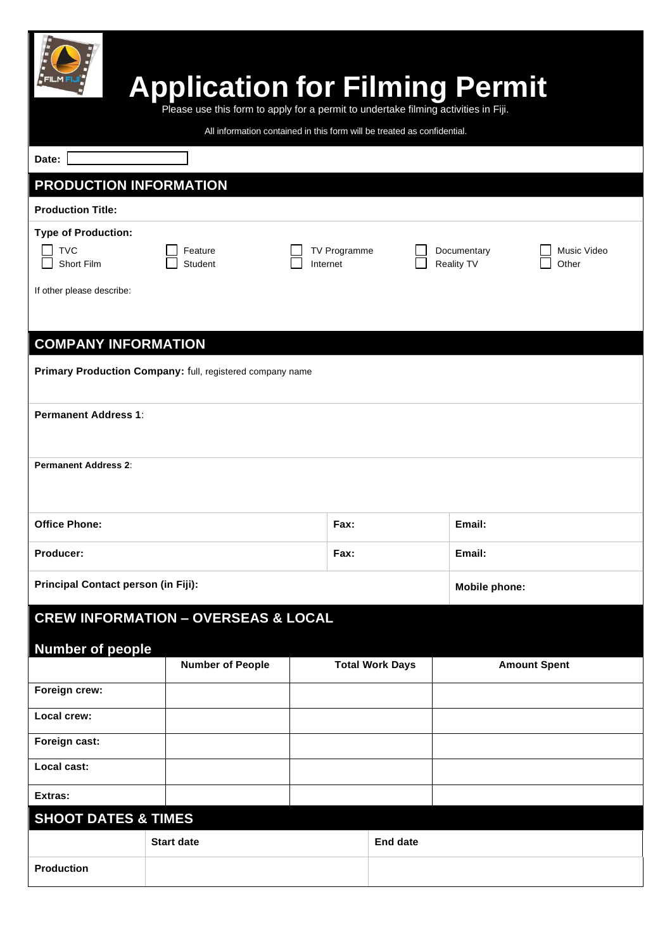| <b>Production</b>                                                                       |                                                                                     |                                                                         |                          |                        |                           |                      |
|-----------------------------------------------------------------------------------------|-------------------------------------------------------------------------------------|-------------------------------------------------------------------------|--------------------------|------------------------|---------------------------|----------------------|
| <b>SHOOT DATES &amp; TIMES</b>                                                          | <b>Start date</b>                                                                   |                                                                         |                          | <b>End date</b>        |                           |                      |
| Extras:                                                                                 |                                                                                     |                                                                         |                          |                        |                           |                      |
| Local cast:                                                                             |                                                                                     |                                                                         |                          |                        |                           |                      |
| Foreign cast:                                                                           |                                                                                     |                                                                         |                          |                        |                           |                      |
| Local crew:                                                                             |                                                                                     |                                                                         |                          |                        |                           |                      |
| Foreign crew:                                                                           |                                                                                     |                                                                         |                          |                        |                           |                      |
| <b>CREW INFORMATION - OVERSEAS &amp; LOCAL</b><br><b>Number of people</b>               | <b>Number of People</b>                                                             |                                                                         |                          | <b>Total Work Days</b> |                           | <b>Amount Spent</b>  |
| Principal Contact person (in Fiji):                                                     |                                                                                     |                                                                         |                          |                        | Mobile phone:             |                      |
| Producer:                                                                               |                                                                                     |                                                                         | Fax:                     |                        | Email:                    |                      |
| <b>Office Phone:</b>                                                                    |                                                                                     |                                                                         | Fax:                     |                        | Email:                    |                      |
| <b>Permanent Address 2:</b>                                                             |                                                                                     |                                                                         |                          |                        |                           |                      |
| <b>Permanent Address 1:</b>                                                             |                                                                                     |                                                                         |                          |                        |                           |                      |
| <b>COMPANY INFORMATION</b><br>Primary Production Company: full, registered company name |                                                                                     |                                                                         |                          |                        |                           |                      |
|                                                                                         |                                                                                     |                                                                         |                          |                        |                           |                      |
| If other please describe:                                                               |                                                                                     |                                                                         |                          |                        |                           |                      |
| <b>Type of Production:</b><br><b>TVC</b><br>Short Film                                  | Feature<br><b>Student</b>                                                           |                                                                         | TV Programme<br>Internet |                        | Documentary<br>Reality TV | Music Video<br>Other |
| <b>Production Title:</b>                                                                |                                                                                     |                                                                         |                          |                        |                           |                      |
| PRODUCTION INFORMATION                                                                  |                                                                                     |                                                                         |                          |                        |                           |                      |
| Date:                                                                                   |                                                                                     |                                                                         |                          |                        |                           |                      |
|                                                                                         | Please use this form to apply for a permit to undertake filming activities in Fiji. | All information contained in this form will be treated as confidential. |                          |                        |                           |                      |
|                                                                                         | <b>Application for Filming Permit</b>                                               |                                                                         |                          |                        |                           |                      |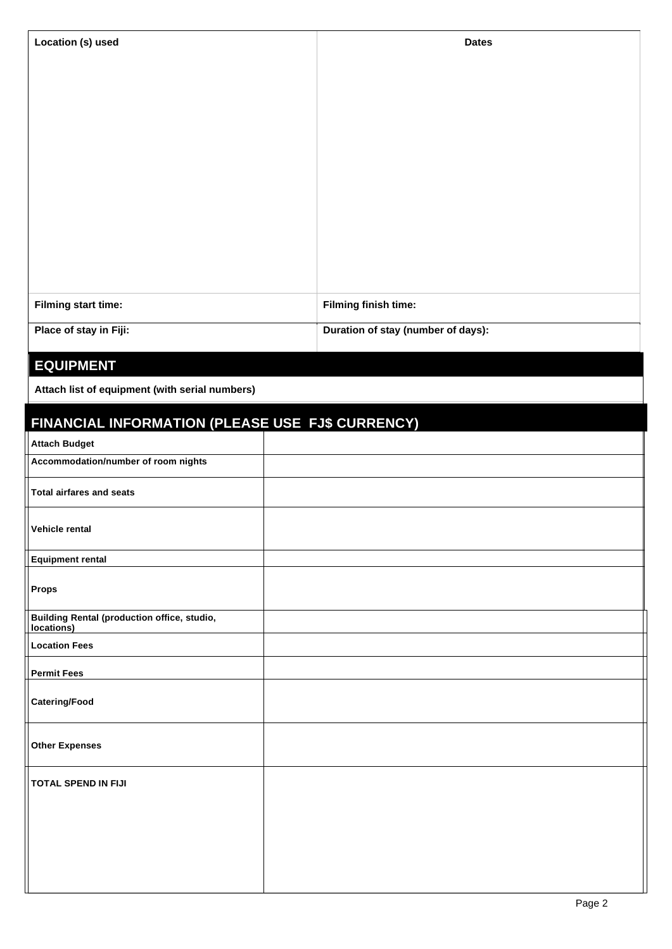| Location (s) used      | <b>Dates</b>                       |
|------------------------|------------------------------------|
|                        |                                    |
|                        |                                    |
|                        |                                    |
|                        |                                    |
|                        |                                    |
|                        |                                    |
|                        |                                    |
|                        |                                    |
|                        |                                    |
| Filming start time:    | Filming finish time:               |
| Place of stay in Fiji: | Duration of stay (number of days): |

## **EQUIPMENT**

**Attach list of equipment (with serial numbers)**

# **FINANCIAL INFORMATION (PLEASE USE FJ\$ CURRENCY)**

| <b>Attach Budget</b>                                             |  |
|------------------------------------------------------------------|--|
| Accommodation/number of room nights                              |  |
| Total airfares and seats                                         |  |
| Vehicle rental                                                   |  |
| <b>Equipment rental</b>                                          |  |
| Props                                                            |  |
| <b>Building Rental (production office, studio,</b><br>locations) |  |
| <b>Location Fees</b>                                             |  |
| <b>Permit Fees</b>                                               |  |
| <b>Catering/Food</b>                                             |  |
| <b>Other Expenses</b>                                            |  |
| <b>TOTAL SPEND IN FIJI</b>                                       |  |
|                                                                  |  |
|                                                                  |  |
|                                                                  |  |
|                                                                  |  |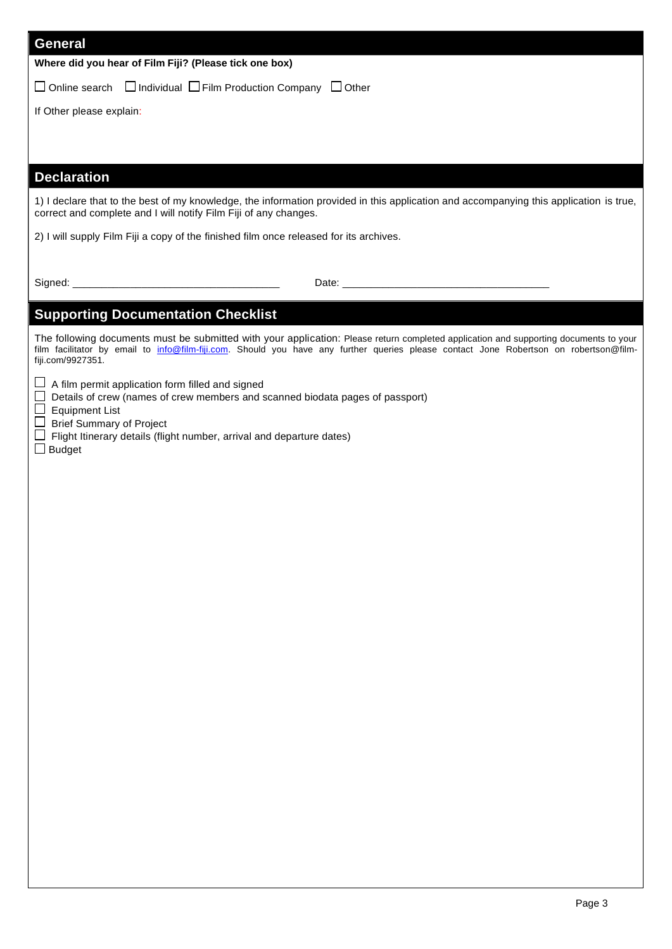| <b>General</b>                                                                                                                                                                                                                                                                                      |
|-----------------------------------------------------------------------------------------------------------------------------------------------------------------------------------------------------------------------------------------------------------------------------------------------------|
| Where did you hear of Film Fiji? (Please tick one box)                                                                                                                                                                                                                                              |
| $\Box$ Online search $\Box$ Individual $\Box$ Film Production Company $\Box$ Other                                                                                                                                                                                                                  |
| If Other please explain:                                                                                                                                                                                                                                                                            |
|                                                                                                                                                                                                                                                                                                     |
|                                                                                                                                                                                                                                                                                                     |
| <b>Declaration</b>                                                                                                                                                                                                                                                                                  |
| 1) I declare that to the best of my knowledge, the information provided in this application and accompanying this application is true,<br>correct and complete and I will notify Film Fiji of any changes.                                                                                          |
| 2) I will supply Film Fiji a copy of the finished film once released for its archives.                                                                                                                                                                                                              |
|                                                                                                                                                                                                                                                                                                     |
|                                                                                                                                                                                                                                                                                                     |
| <b>Supporting Documentation Checklist</b>                                                                                                                                                                                                                                                           |
| The following documents must be submitted with your application: Please return completed application and supporting documents to your<br>film facilitator by email to info@film-fiji.com. Should you have any further queries please contact Jone Robertson on robertson@film-<br>fiji.com/9927351. |
| $\Box$ A film permit application form filled and signed<br>Details of crew (names of crew members and scanned biodata pages of passport)<br>$\Box$ Equipment List<br>$\Box$ Brief Summary of Project<br>Flight Itinerary details (flight number, arrival and departure dates)<br>$\Box$ Budget      |
|                                                                                                                                                                                                                                                                                                     |